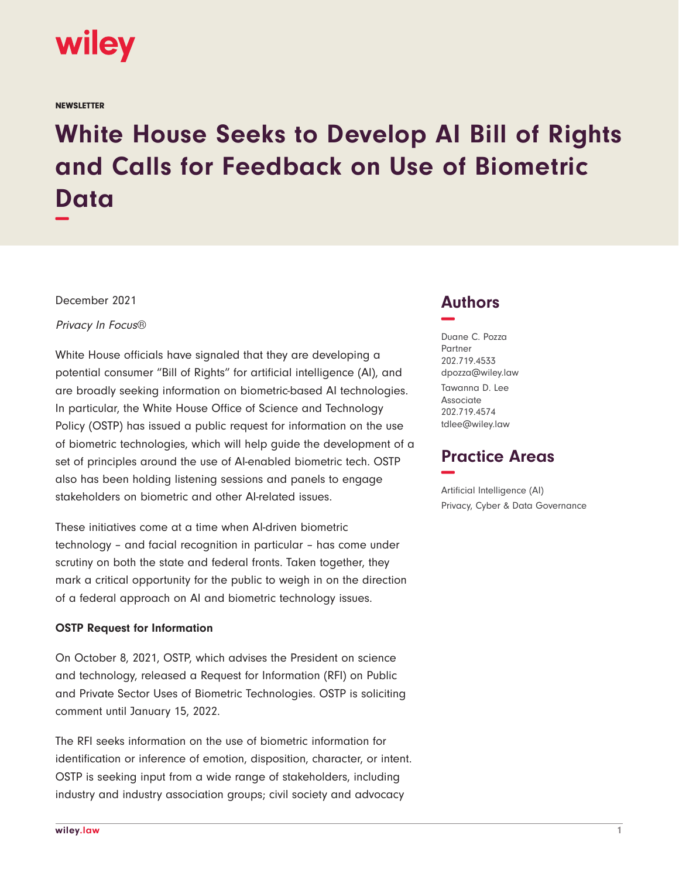

**NEWSLETTER** 

# **White House Seeks to Develop AI Bill of Rights and Calls for Feedback on Use of Biometric Data −**

December 2021

Privacy In Focus®

White House officials have signaled that they are developing a potential consumer "Bill of Rights" for artificial intelligence (AI), and are broadly seeking information on biometric-based AI technologies. In particular, the White House Office of Science and Technology Policy (OSTP) has issued a public request for information on the use of biometric technologies, which will help guide the development of a set of principles around the use of AI-enabled biometric tech. OSTP also has been holding listening sessions and panels to engage stakeholders on biometric and other AI-related issues.

These initiatives come at a time when AI-driven biometric technology – and facial recognition in particular – has come under scrutiny on both the state and federal fronts. Taken together, they mark a critical opportunity for the public to weigh in on the direction of a federal approach on AI and biometric technology issues.

#### **OSTP Request for Information**

On October 8, 2021, OSTP, which advises the President on science and technology, released a Request for Information (RFI) on Public and Private Sector Uses of Biometric Technologies. OSTP is soliciting comment until January 15, 2022.

The RFI seeks information on the use of biometric information for identification or inference of emotion, disposition, character, or intent. OSTP is seeking input from a wide range of stakeholders, including industry and industry association groups; civil society and advocacy

## **Authors −**

Duane C. Pozza Partner 202.719.4533 dpozza@wiley.law Tawanna D. Lee Associate 202.719.4574 tdlee@wiley.law

## **Practice Areas −**

Artificial Intelligence (AI) Privacy, Cyber & Data Governance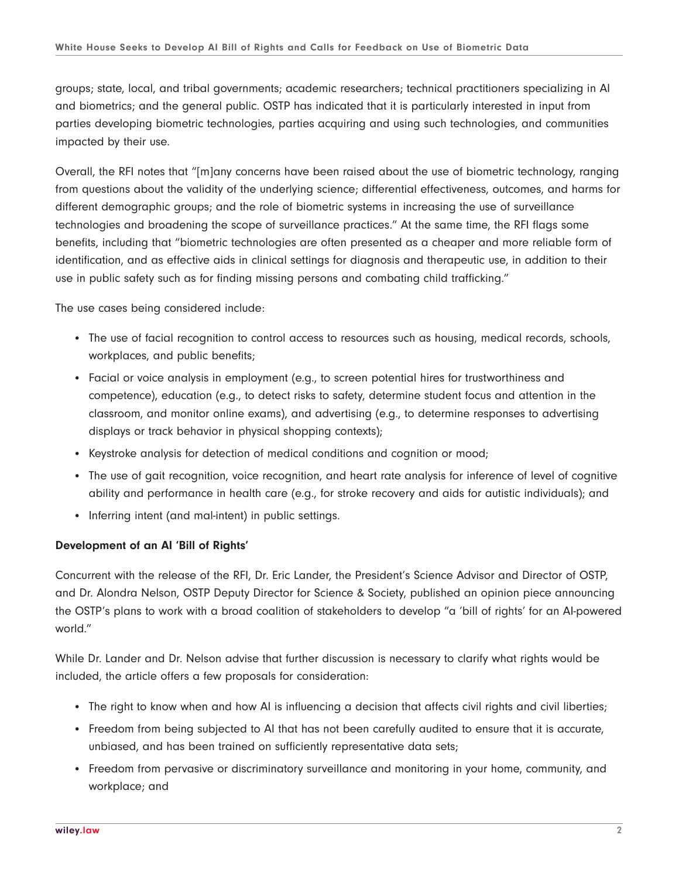groups; state, local, and tribal governments; academic researchers; technical practitioners specializing in AI and biometrics; and the general public. OSTP has indicated that it is particularly interested in input from parties developing biometric technologies, parties acquiring and using such technologies, and communities impacted by their use.

Overall, the RFI notes that "[m]any concerns have been raised about the use of biometric technology, ranging from questions about the validity of the underlying science; differential effectiveness, outcomes, and harms for different demographic groups; and the role of biometric systems in increasing the use of surveillance technologies and broadening the scope of surveillance practices." At the same time, the RFI flags some benefits, including that "biometric technologies are often presented as a cheaper and more reliable form of identification, and as effective aids in clinical settings for diagnosis and therapeutic use, in addition to their use in public safety such as for finding missing persons and combating child trafficking."

The use cases being considered include:

- The use of facial recognition to control access to resources such as housing, medical records, schools, workplaces, and public benefits;
- Facial or voice analysis in employment (e.g., to screen potential hires for trustworthiness and competence), education (e.g., to detect risks to safety, determine student focus and attention in the classroom, and monitor online exams), and advertising (e.g., to determine responses to advertising displays or track behavior in physical shopping contexts);
- Keystroke analysis for detection of medical conditions and cognition or mood;
- The use of gait recognition, voice recognition, and heart rate analysis for inference of level of cognitive ability and performance in health care (e.g., for stroke recovery and aids for autistic individuals); and
- Inferring intent (and mal-intent) in public settings.

#### **Development of an AI 'Bill of Rights'**

Concurrent with the release of the RFI, Dr. Eric Lander, the President's Science Advisor and Director of OSTP, and Dr. Alondra Nelson, OSTP Deputy Director for Science & Society, published an opinion piece announcing the OSTP's plans to work with a broad coalition of stakeholders to develop "a 'bill of rights' for an AI-powered world."

While Dr. Lander and Dr. Nelson advise that further discussion is necessary to clarify what rights would be included, the article offers a few proposals for consideration:

- The right to know when and how AI is influencing a decision that affects civil rights and civil liberties;
- Freedom from being subjected to AI that has not been carefully audited to ensure that it is accurate, unbiased, and has been trained on sufficiently representative data sets;
- Freedom from pervasive or discriminatory surveillance and monitoring in your home, community, and workplace; and